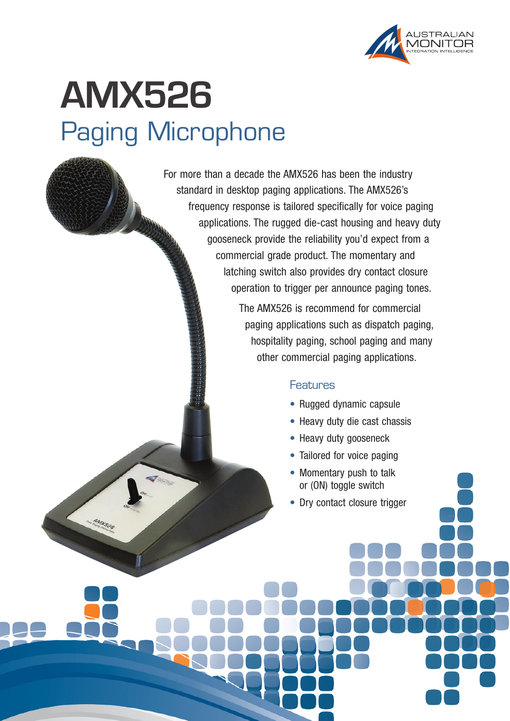

## **AMX526** Paging Microphone

anyks<sub>2</sub>

For more than a decade the AMX526 has been the industry standard in desktop paging applications. The AMX526's frequency response is tailored specifically for voice paging applications. The rugged die-cast housing and heavy duty gooseneck provide the reliability you'd expect from a commercial grade product. The momentary and latching switch also provides dry contact closure operation to trigger per announce paging tones.

> The AMX526 is recommend for commercial paging applications such as dispatch paging, hospitality paging, school paging and many other commercial paging applications.

## Features

- Rugged dynamic capsule
- Heavy duty die cast chassis
- Heavy duty gooseneck
- Tailored for voice paging
- Momentary push to talk or (ON) toggle switch
- Dry contact closure trigger